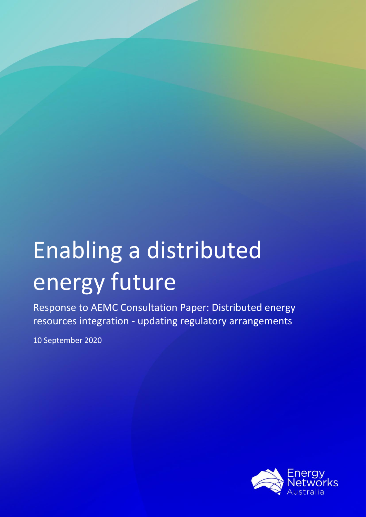# Enabling a distributed energy future

Response to AEMC Consultation Paper: Distributed energy resources integration - updating regulatory arrangements

10 September 2020

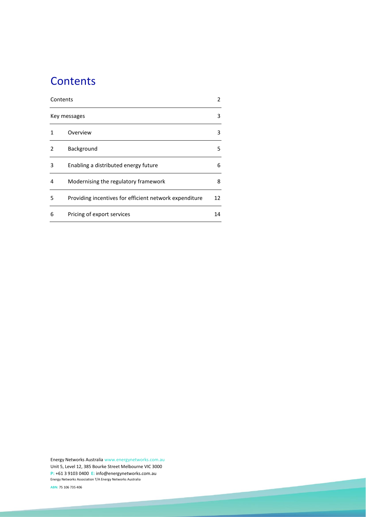# <span id="page-1-0"></span>**Contents**

| Contents<br>Key messages |                                                        | 2<br>3 |
|--------------------------|--------------------------------------------------------|--------|
|                          |                                                        |        |
| 2                        | Background                                             | 5      |
| 3                        | Enabling a distributed energy future                   | 6      |
| 4                        | Modernising the regulatory framework                   | 8      |
| 5                        | Providing incentives for efficient network expenditure | 12     |
| 6                        | Pricing of export services                             | 14     |

Energy Networks Australi[a www.energynetworks.com.au](http://www.energynetworks.com.au/) Unit 5, Level 12, 385 Bourke Street Melbourne VIC 3000 **P:** +61 3 9103 0400 **E:** [info@energynetworks.com.au](mailto:info@energynetworks.com.au) Energy Networks Association T/A Energy Networks Australia

2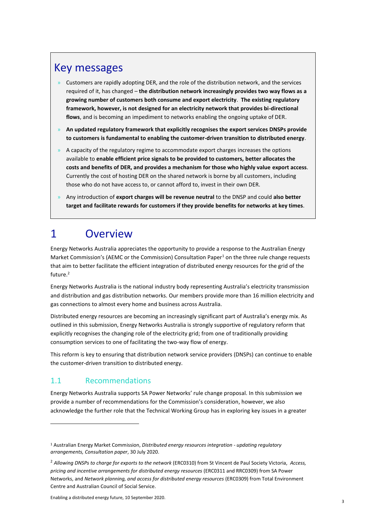# <span id="page-2-0"></span>Key messages

- $\rightarrow$  Customers are rapidly adopting DER, and the role of the distribution network, and the services required of it, has changed – **the distribution network increasingly provides two way flows as a growing number of customers both consume and export electricity**. **The existing regulatory framework, however, is not designed for an electricity network that provides bi-directional flows**, and is becoming an impediment to networks enabling the ongoing uptake of DER.
- » **An updated regulatory framework that explicitly recognises the export services DNSPs provide to customers is fundamental to enabling the customer-driven transition to distributed energy**.
- » A capacity of the regulatory regime to accommodate export charges increases the options available to **enable efficient price signals to be provided to customers, better allocates the costs and benefits of DER, and provides a mechanism for those who highly value export access**. Currently the cost of hosting DER on the shared network is borne by all customers, including those who do not have access to, or cannot afford to, invest in their own DER.
- » Any introduction of **export charges will be revenue neutral** to the DNSP and could **also better target and facilitate rewards for customers if they provide benefits for networks at key times**.

# <span id="page-2-1"></span>1 Overview

Energy Networks Australia appreciates the opportunity to provide a response to the Australian Energy Market Commission's (AEMC or the Commission) Consultation Paper<sup>1</sup> on the three rule change requests that aim to better facilitate the efficient integration of distributed energy resources for the grid of the future.<sup>2</sup>

Energy Networks Australia is the national industry body representing Australia's electricity transmission and distribution and gas distribution networks. Our members provide more than 16 million electricity and gas connections to almost every home and business across Australia.

Distributed energy resources are becoming an increasingly significant part of Australia's energy mix. As outlined in this submission, Energy Networks Australia is strongly supportive of regulatory reform that explicitly recognises the changing role of the electricity grid; from one of traditionally providing consumption services to one of facilitating the two-way flow of energy.

This reform is key to ensuring that distribution network service providers (DNSPs) can continue to enable the customer-driven transition to distributed energy.

## 1.1 Recommendations

Energy Networks Australia supports SA Power Networks' rule change proposal. In this submission we provide a number of recommendations for the Commission's consideration, however, we also acknowledge the further role that the Technical Working Group has in exploring key issues in a greater

<sup>1</sup> Australian Energy Market Commission, *Distributed energy resources integration - updating regulatory arrangements, Consultation paper*, 30 July 2020.

<sup>2</sup> *Allowing DNSPs to charge for exports to the network* (ERC0310) from St Vincent de Paul Society Victoria, *Access, pricing and incentive arrangements for distributed energy resources* (ERC0311 and RRC0309) from SA Power Networks, and *Network planning, and access for distributed energy resources* (ERC0309) from Total Environment Centre and Australian Council of Social Service.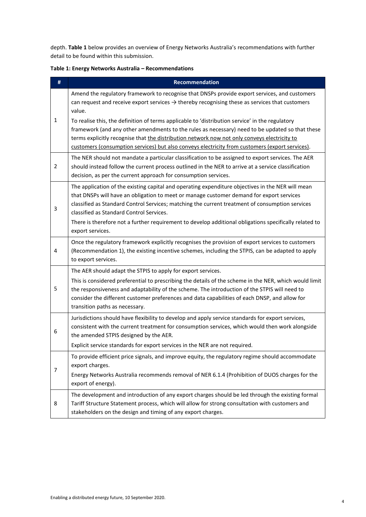depth. **Table 1** below provides an overview of Energy Networks Australia's recommendations with further detail to be found within this submission.

| #              | <b>Recommendation</b>                                                                                                                                                                                                                                                                                                                                                                                                                                                      |
|----------------|----------------------------------------------------------------------------------------------------------------------------------------------------------------------------------------------------------------------------------------------------------------------------------------------------------------------------------------------------------------------------------------------------------------------------------------------------------------------------|
| $\mathbf{1}$   | Amend the regulatory framework to recognise that DNSPs provide export services, and customers<br>can request and receive export services $\rightarrow$ thereby recognising these as services that customers<br>value.                                                                                                                                                                                                                                                      |
|                | To realise this, the definition of terms applicable to 'distribution service' in the regulatory<br>framework (and any other amendments to the rules as necessary) need to be updated so that these<br>terms explicitly recognise that the distribution network now not only conveys electricity to<br>customers (consumption services) but also conveys electricity from customers (export services).                                                                      |
| $\overline{2}$ | The NER should not mandate a particular classification to be assigned to export services. The AER<br>should instead follow the current process outlined in the NER to arrive at a service classification<br>decision, as per the current approach for consumption services.                                                                                                                                                                                                |
| 3              | The application of the existing capital and operating expenditure objectives in the NER will mean<br>that DNSPs will have an obligation to meet or manage customer demand for export services<br>classified as Standard Control Services; matching the current treatment of consumption services<br>classified as Standard Control Services.<br>There is therefore not a further requirement to develop additional obligations specifically related to<br>export services. |
| 4              | Once the regulatory framework explicitly recognises the provision of export services to customers<br>(Recommendation 1), the existing incentive schemes, including the STPIS, can be adapted to apply<br>to export services.                                                                                                                                                                                                                                               |
|                | The AER should adapt the STPIS to apply for export services.                                                                                                                                                                                                                                                                                                                                                                                                               |
| 5              | This is considered preferential to prescribing the details of the scheme in the NER, which would limit<br>the responsiveness and adaptability of the scheme. The introduction of the STPIS will need to<br>consider the different customer preferences and data capabilities of each DNSP, and allow for<br>transition paths as necessary.                                                                                                                                 |
| 6              | Jurisdictions should have flexibility to develop and apply service standards for export services,<br>consistent with the current treatment for consumption services, which would then work alongside<br>the amended STPIS designed by the AER.                                                                                                                                                                                                                             |
|                | Explicit service standards for export services in the NER are not required.                                                                                                                                                                                                                                                                                                                                                                                                |
| 7              | To provide efficient price signals, and improve equity, the regulatory regime should accommodate<br>export charges.                                                                                                                                                                                                                                                                                                                                                        |
|                | Energy Networks Australia recommends removal of NER 6.1.4 (Prohibition of DUOS charges for the<br>export of energy).                                                                                                                                                                                                                                                                                                                                                       |
| 8              | The development and introduction of any export charges should be led through the existing formal<br>Tariff Structure Statement process, which will allow for strong consultation with customers and<br>stakeholders on the design and timing of any export charges.                                                                                                                                                                                                        |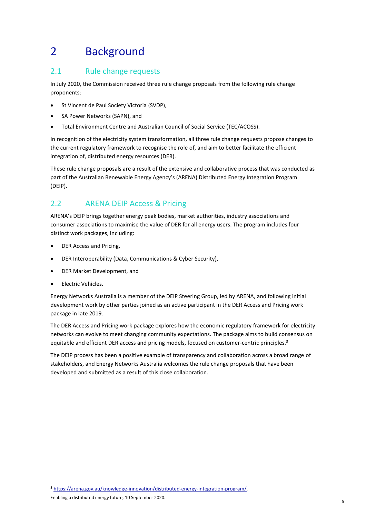# <span id="page-4-0"></span>2 Background

## 2.1 Rule change requests

In July 2020, the Commission received three rule change proposals from the following rule change proponents:

- St Vincent de Paul Society Victoria (SVDP),
- SA Power Networks (SAPN), and
- Total Environment Centre and Australian Council of Social Service (TEC/ACOSS).

In recognition of the electricity system transformation, all three rule change requests propose changes to the current regulatory framework to recognise the role of, and aim to better facilitate the efficient integration of, distributed energy resources (DER).

These rule change proposals are a result of the extensive and collaborative process that was conducted as part of the Australian Renewable Energy Agency's (ARENA) Distributed Energy Integration Program (DEIP).

# 2.2 ARENA DEIP Access & Pricing

ARENA's DEIP brings together energy peak bodies, market authorities, industry associations and consumer associations to maximise the value of DER for all energy users. The program includes four distinct work packages, including:

- DER Access and Pricing,
- DER Interoperability (Data, Communications & Cyber Security),
- DER Market Development, and
- Electric Vehicles.

Energy Networks Australia is a member of the DEIP Steering Group, led by ARENA, and following initial development work by other parties joined as an active participant in the DER Access and Pricing work package in late 2019.

The DER Access and Pricing work package explores how the economic regulatory framework for electricity networks can evolve to meet changing community expectations. The package aims to build consensus on equitable and efficient DER access and pricing models, focused on customer-centric principles.<sup>3</sup>

The DEIP process has been a positive example of transparency and collaboration across a broad range of stakeholders, and Energy Networks Australia welcomes the rule change proposals that have been developed and submitted as a result of this close collaboration.

<sup>3</sup> [https://arena.gov.au/knowledge-innovation/distributed-energy-integration-program/.](https://arena.gov.au/knowledge-innovation/distributed-energy-integration-program/)

Enabling a distributed energy future, 10 September 2020.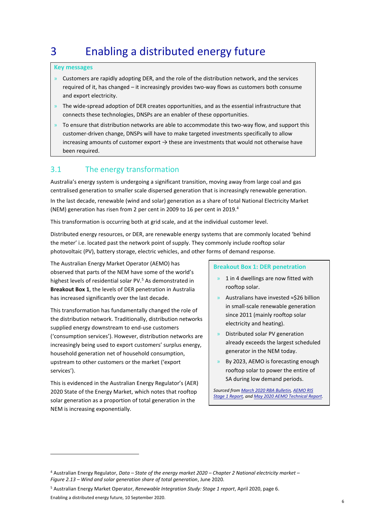# <span id="page-5-0"></span>3 Enabling a distributed energy future

#### **Key messages**

- $\rightarrow$  Customers are rapidly adopting DER, and the role of the distribution network, and the services required of it, has changed – it increasingly provides two-way flows as customers both consume and export electricity.
- $\rightarrow$  The wide-spread adoption of DER creates opportunities, and as the essential infrastructure that connects these technologies, DNSPs are an enabler of these opportunities.
- $\rightarrow$  To ensure that distribution networks are able to accommodate this two-way flow, and support this customer-driven change, DNSPs will have to make targeted investments specifically to allow increasing amounts of customer export  $\rightarrow$  these are investments that would not otherwise have been required.

## 3.1 The energy transformation

Australia's energy system is undergoing a significant transition, moving away from large coal and gas centralised generation to smaller scale dispersed generation that is increasingly renewable generation.

In the last decade, renewable (wind and solar) generation as a share of total National Electricity Market (NEM) generation has risen from 2 per cent in 2009 to 16 per cent in 2019.<sup>4</sup>

This transformation is occurring both at grid scale, and at the individual customer level.

Distributed energy resources, or DER, are renewable energy systems that are commonly located 'behind the meter' i.e. located past the network point of supply. They commonly include rooftop solar photovoltaic (PV), battery storage, electric vehicles, and other forms of demand response.

The Australian Energy Market Operator (AEMO) has observed that parts of the NEM have some of the world's highest levels of residential solar PV.<sup>5</sup> As demonstrated in **Breakout Box 1**, the levels of DER penetration in Australia has increased significantly over the last decade.

This transformation has fundamentally changed the role of the distribution network. Traditionally, distribution networks supplied energy downstream to end-use customers ('consumption services'). However, distribution networks are increasingly being used to export customers' surplus energy, household generation net of household consumption, upstream to other customers or the market ('export services').

This is evidenced in the Australian Energy Regulator's (AER) 2020 State of the Energy Market, which notes that rooftop solar generation as a proportion of total generation in the NEM is increasing exponentially.

#### **Breakout Box 1: DER penetration**

- » 1 in 4 dwellings are now fitted with rooftop solar.
- » Australians have invested ≈\$26 billion in small-scale renewable generation since 2011 (mainly rooftop solar electricity and heating).
- » Distributed solar PV generation already exceeds the largest scheduled generator in the NEM today.
- » By 2023, AEMO is forecasting enough rooftop solar to power the entire of SA during low demand periods.

*Sourced fro[m March 2020 RBA Bulletin,](https://www.rba.gov.au/publications/bulletin/2020/mar/pdf/renewable-energy-investment-in-australia.pdf) [AEMO RIS](https://aemo.com.au/-/media/files/major-publications/ris/2020/renewable-integration-study-stage-1.pdf?la=en&hash=BEF358122FD1FAD93C9511F1DD8A15F2)  [Stage 1 Report,](https://aemo.com.au/-/media/files/major-publications/ris/2020/renewable-integration-study-stage-1.pdf?la=en&hash=BEF358122FD1FAD93C9511F1DD8A15F2) an[d May 2020 AEMO Technical Report.](https://aemo.com.au/-/media/files/electricity/nem/planning_and_forecasting/sa_advisory/2020/minimum-operational-demand-thresholds-in-south-australia-review.pdf?la=en)* 

<sup>4</sup> Australian Energy Regulator, *Data – State of the energy market 2020 – Chapter 2 National electricity market – Figure 2.13 – Wind and solar generation share of total generation*, June 2020.

<sup>5</sup> Australian Energy Market Operator, *Renewable Integration Study: Stage 1 report*, April 2020, page 6.

Enabling a distributed energy future, 10 September 2020.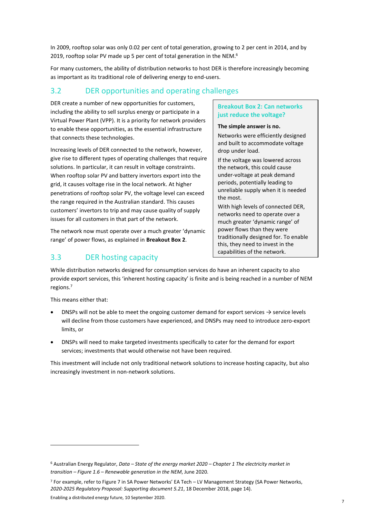In 2009, rooftop solar was only 0.02 per cent of total generation, growing to 2 per cent in 2014, and by 2019, rooftop solar PV made up 5 per cent of total generation in the NEM.<sup>6</sup>

For many customers, the ability of distribution networks to host DER is therefore increasingly becoming as important as its traditional role of delivering energy to end-users.

## 3.2 DER opportunities and operating challenges

DER create a number of new opportunities for customers, including the ability to sell surplus energy or participate in a Virtual Power Plant (VPP). It is a priority for network providers to enable these opportunities, as the essential infrastructure that connects these technologies.

Increasing levels of DER connected to the network, however, give rise to different types of operating challenges that require solutions. In particular, it can result in voltage constraints. When rooftop solar PV and battery invertors export into the grid, it causes voltage rise in the local network. At higher penetrations of rooftop solar PV, the voltage level can exceed the range required in the Australian standard. This causes customers' invertors to trip and may cause quality of supply issues for all customers in that part of the network.

The network now must operate over a much greater 'dynamic range' of power flows, as explained in **Breakout Box 2**.

## 3.3 DER hosting capacity

#### **Breakout Box 2: Can networks just reduce the voltage?**

#### **The simple answer is no.**

Networks were efficiently designed and built to accommodate voltage drop under load.

If the voltage was lowered across the network, this could cause under-voltage at peak demand periods, potentially leading to unreliable supply when it is needed the most.

With high levels of connected DER, networks need to operate over a much greater 'dynamic range' of power flows than they were traditionally designed for. To enable this, they need to invest in the capabilities of the network.

While distribution networks designed for consumption services do have an inherent capacity to also provide export services, this 'inherent hosting capacity' is finite and is being reached in a number of NEM regions. 7

This means either that:

- DNSPs will not be able to meet the ongoing customer demand for export services  $\rightarrow$  service levels will decline from those customers have experienced, and DNSPs may need to introduce zero-export limits, or
- DNSPs will need to make targeted investments specifically to cater for the demand for export services; investments that would otherwise not have been required.

This investment will include not only traditional network solutions to increase hosting capacity, but also increasingly investment in non-network solutions.

Enabling a distributed energy future, 10 September 2020.

<sup>6</sup> Australian Energy Regulator, *Data – State of the energy market 2020 – Chapter 1 The electricity market in transition – Figure 1.6 – Renewable generation in the NEM*, June 2020.

<sup>7</sup> For example, refer to Figure 7 in SA Power Networks' EA Tech – LV Management Strategy (SA Power Networks, *2020-2025 Regulatory Proposal: Supporting document 5.21*, 18 December 2018, page 14).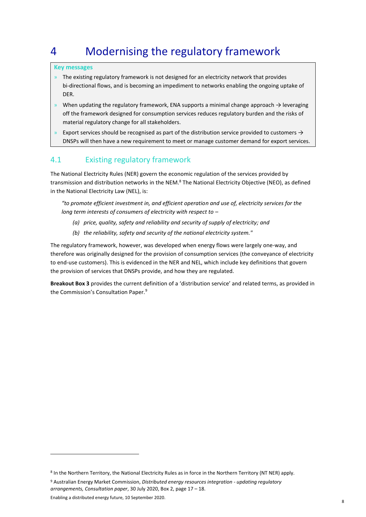# <span id="page-7-0"></span>4 Modernising the regulatory framework

#### **Key messages**

- » The existing regulatory framework is not designed for an electricity network that provides bi-directional flows, and is becoming an impediment to networks enabling the ongoing uptake of DER.
- » When updating the regulatory framework, ENA supports a minimal change approach  $\rightarrow$  leveraging off the framework designed for consumption services reduces regulatory burden and the risks of material regulatory change for all stakeholders.
- Export services should be recognised as part of the distribution service provided to customers  $\rightarrow$ DNSPs will then have a new requirement to meet or manage customer demand for export services.

## 4.1 Existing regulatory framework

The National Electricity Rules (NER) govern the economic regulation of the services provided by transmission and distribution networks in the NEM.<sup>8</sup> The National Electricity Objective (NEO), as defined in the National Electricity Law (NEL), is:

*"to promote efficient investment in, and efficient operation and use of, electricity services for the long term interests of consumers of electricity with respect to –*

- *(a) price, quality, safety and reliability and security of supply of electricity; and*
- *(b) the reliability, safety and security of the national electricity system."*

The regulatory framework, however, was developed when energy flows were largely one-way, and therefore was originally designed for the provision of consumption services (the conveyance of electricity to end-use customers). This is evidenced in the NER and NEL, which include key definitions that govern the provision of services that DNSPs provide, and how they are regulated.

**Breakout Box 3** provides the current definition of a 'distribution service' and related terms, as provided in the Commission's Consultation Paper.<sup>9</sup>

<sup>8</sup> In the Northern Territory, the National Electricity Rules as in force in the Northern Territory (NT NER) apply.

<sup>9</sup> Australian Energy Market Commission, *Distributed energy resources integration - updating regulatory arrangements, Consultation paper*, 30 July 2020, Box 2, page 17 – 18.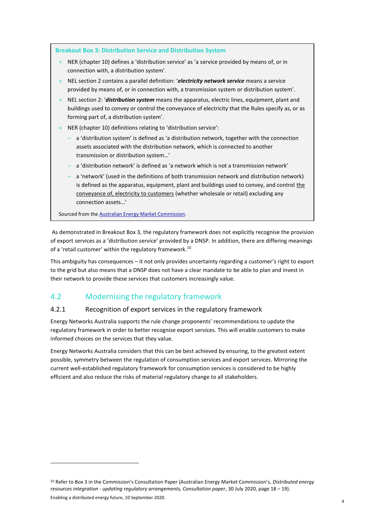| <b>Breakout Box 3: Distribution Service and Distribution System</b>                                                                                                                                                                                                                                     |  |  |
|---------------------------------------------------------------------------------------------------------------------------------------------------------------------------------------------------------------------------------------------------------------------------------------------------------|--|--|
| NER (chapter 10) defines a 'distribution service' as 'a service provided by means of, or in<br>$\mathcal{Y}$<br>connection with, a distribution system'.                                                                                                                                                |  |  |
| NEL section 2 contains a parallel definition: 'electricity network service means a service<br>$\mathcal{Y}$<br>provided by means of, or in connection with, a transmission system or distribution system'.                                                                                              |  |  |
| NEL section 2: 'distribution system means the apparatus, electric lines, equipment, plant and<br>$\mathcal{Y}$<br>buildings used to convey or control the conveyance of electricity that the Rules specify as, or as<br>forming part of, a distribution system'.                                        |  |  |
| NER (chapter 10) definitions relating to 'distribution service':<br>$\lambda$                                                                                                                                                                                                                           |  |  |
| a 'distribution system' is defined as 'a distribution network, together with the connection<br>assets associated with the distribution network, which is connected to another<br>transmission or distribution system'                                                                                   |  |  |
| a 'distribution network' is defined as 'a network which is not a transmission network'                                                                                                                                                                                                                  |  |  |
| a 'network' (used in the definitions of both transmission network and distribution network)<br>is defined as the apparatus, equipment, plant and buildings used to convey, and control the<br>conveyance of, electricity to customers (whether wholesale or retail) excluding any<br>connection assets' |  |  |
| Sourced from the Australian Energy Market Commission.                                                                                                                                                                                                                                                   |  |  |

As demonstrated in Breakout Box 3, the regulatory framework does not explicitly recognise the provision of export services as a 'distribution service' provided by a DNSP. In addition, there are differing meanings of a 'retail customer' within the regulatory framework.<sup>10</sup>

This ambiguity has consequences – it not only provides uncertainty regarding a customer's right to export to the grid but also means that a DNSP does not have a clear mandate to be able to plan and invest in their network to provide these services that customers increasingly value.

# 4.2 Modernising the regulatory framework

## 4.2.1 Recognition of export services in the regulatory framework

Energy Networks Australia supports the rule change proponents' recommendations to update the regulatory framework in order to better recognise export services. This will enable customers to make informed choices on the services that they value.

Energy Networks Australia considers that this can be best achieved by ensuring, to the greatest extent possible, symmetry between the regulation of consumption services and export services. Mirroring the current well-established regulatory framework for consumption services is considered to be highly efficient and also reduce the risks of material regulatory change to all stakeholders.

<sup>10</sup> Refer to Box 3 in the Commission's Consultation Paper (Australian Energy Market Commission's, *Distributed energy resources integration - updating regulatory arrangements, Consultation paper*, 30 July 2020, page 18 – 19).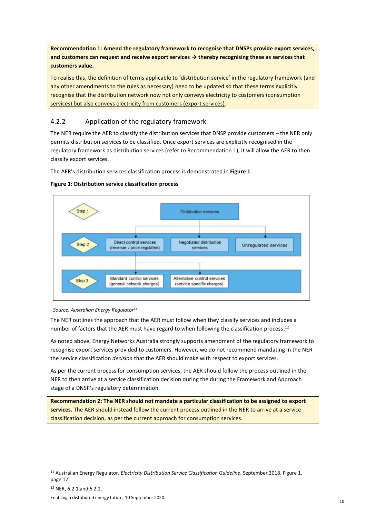**Recommendation 1: Amend the regulatory framework to recognise that DNSPs provide export services, and customers can request and receive export services → thereby recognising these as services that customers value.**

To realise this, the definition of terms applicable to 'distribution service' in the regulatory framework (and any other amendments to the rules as necessary) need to be updated so that these terms explicitly recognise that the distribution network now not only conveys electricity to customers (consumption services) but also conveys electricity from customers (export services).

#### 4.2.2 Application of the regulatory framework

The NER require the AER to classify the distribution services that DNSP provide customers – the NER only permits distribution services to be classified. Once export services are explicitly recognised in the regulatory framework as distribution services (refer to Recommendation 1), it will allow the AER to then classify export services.

The AER's distribution services classification process is demonstrated in **Figure 1**.

#### **Figure 1: Distribution service classification process**



 *Source: Australian Energy Regulator<sup>11</sup>*

The NER outlines the approach that the AER must follow when they classify services and includes a number of factors that the AER must have regard to when following the classification process.<sup>12</sup>

As noted above, Energy Networks Australia strongly supports amendment of the regulatory framework to recognise export services provided to customers. However, we do not recommend mandating in the NER the service classification *decision* that the AER should make with respect to export services.

As per the current process for consumption services, the AER should follow the process outlined in the NER to then arrive at a service classification decision during the during the Framework and Approach stage of a DNSP's regulatory determination.

**Recommendation 2: The NER should not mandate a particular classification to be assigned to export services.** The AER should instead follow the current process outlined in the NER to arrive at a service classification decision, as per the current approach for consumption services.

<sup>11</sup> Australian Energy Regulator, *Electricity Distribution Service Classification Guideline*, September 2018, Figure 1, page 12.

<sup>12</sup> NER, 6.2.1 and 6.2.2.

Enabling a distributed energy future, 10 September 2020.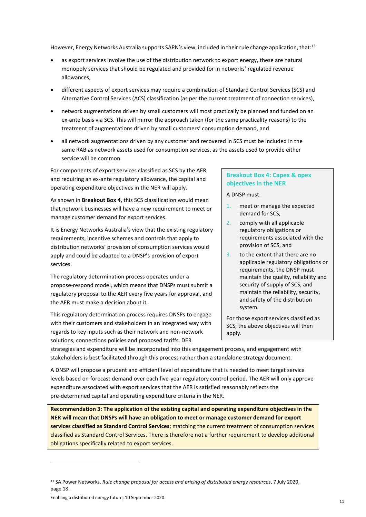However, Energy Networks Australia supports SAPN's view, included in their rule change application, that:<sup>13</sup>

- as export services involve the use of the distribution network to export energy, these are natural monopoly services that should be regulated and provided for in networks' regulated revenue allowances,
- different aspects of export services may require a combination of Standard Control Services (SCS) and Alternative Control Services (ACS) classification (as per the current treatment of connection services),
- network augmentations driven by small customers will most practically be planned and funded on an ex-ante basis via SCS. This will mirror the approach taken (for the same practicality reasons) to the treatment of augmentations driven by small customers' consumption demand, and
- all network augmentations driven by any customer and recovered in SCS must be included in the same RAB as network assets used for consumption services, as the assets used to provide either service will be common.

For components of export services classified as SCS by the AER and requiring an ex-ante regulatory allowance, the capital and operating expenditure objectives in the NER will apply.

As shown in **Breakout Box 4**, this SCS classification would mean that network businesses will have a new requirement to meet or manage customer demand for export services.

It is Energy Networks Australia's view that the existing regulatory requirements, incentive schemes and controls that apply to distribution networks' provision of consumption services would apply and could be adapted to a DNSP's provision of export services.

The regulatory determination process operates under a propose-respond model, which means that DNSPs must submit a regulatory proposal to the AER every five years for approval, and the AER must make a decision about it.

This regulatory determination process requires DNSPs to engage with their customers and stakeholders in an integrated way with regards to key inputs such as their network and non-network solutions, connections policies and proposed tariffs. DER

#### **Breakout Box 4: Capex & opex objectives in the NER**

A DNSP must:

- 1. meet or manage the expected demand for SCS,
- 2. comply with all applicable regulatory obligations or requirements associated with the provision of SCS, and
- 3. to the extent that there are no applicable regulatory obligations or requirements, the DNSP must maintain the quality, reliability and security of supply of SCS, and maintain the reliability, security, and safety of the distribution system.

For those export services classified as SCS, the above objectives will then apply.

strategies and expenditure will be incorporated into this engagement process, and engagement with stakeholders is best facilitated through this process rather than a standalone strategy document.

A DNSP will propose a prudent and efficient level of expenditure that is needed to meet target service levels based on forecast demand over each five-year regulatory control period. The AER will only approve expenditure associated with export services that the AER is satisfied reasonably reflects the pre-determined capital and operating expenditure criteria in the NER.

**Recommendation 3: The application of the existing capital and operating expenditure objectives in the NER will mean that DNSPs will have an obligation to meet or manage customer demand for export services classified as Standard Control Services**; matching the current treatment of consumption services classified as Standard Control Services. There is therefore not a further requirement to develop additional obligations specifically related to export services.

<sup>13</sup> SA Power Networks, *Rule change proposal for access and pricing of distributed energy resources*, 7 July 2020, page 18.

Enabling a distributed energy future, 10 September 2020.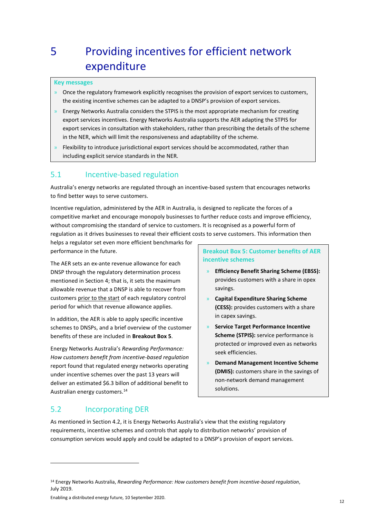# <span id="page-11-0"></span>5 Providing incentives for efficient network expenditure

#### **Key messages**

- $\rightarrow$  Once the regulatory framework explicitly recognises the provision of export services to customers, the existing incentive schemes can be adapted to a DNSP's provision of export services.
- $\theta$  Energy Networks Australia considers the STPIS is the most appropriate mechanism for creating export services incentives. Energy Networks Australia supports the AER adapting the STPIS for export services in consultation with stakeholders, rather than prescribing the details of the scheme in the NER, which will limit the responsiveness and adaptability of the scheme.
- » Flexibility to introduce jurisdictional export services should be accommodated, rather than including explicit service standards in the NER.

#### 5.1 Incentive-based regulation

Australia's energy networks are regulated through an incentive-based system that encourages networks to find better ways to serve customers.

Incentive regulation, administered by the AER in Australia, is designed to replicate the forces of a competitive market and encourage monopoly businesses to further reduce costs and improve efficiency, without compromising the standard of service to customers. It is recognised as a powerful form of regulation as it drives businesses to reveal their efficient costs to serve customers. This information then

helps a regulator set even more efficient benchmarks for performance in the future.

The AER sets an ex-ante revenue allowance for each DNSP through the regulatory determination process mentioned in Section 4; that is, it sets the maximum allowable revenue that a DNSP is able to recover from customers prior to the start of each regulatory control period for which that revenue allowance applies.

In addition, the AER is able to apply specific incentive schemes to DNSPs, and a brief overview of the customer benefits of these are included in **Breakout Box 5**.

Energy Networks Australia's *Rewarding Performance: How customers benefit from incentive-based regulation* report found that regulated energy networks operating under incentive schemes over the past 13 years will deliver an estimated \$6.3 billon of additional benefit to Australian energy customers.<sup>14</sup>

**Breakout Box 5: Customer benefits of AER incentive schemes**

- » **Efficiency Benefit Sharing Scheme (EBSS):** provides customers with a share in opex savings.
- » **Capital Expenditure Sharing Scheme (CESS):** provides customers with a share in capex savings.
- » **Service Target Performance Incentive Scheme (STPIS):** service performance is protected or improved even as networks seek efficiencies.
- » **Demand Management Incentive Scheme (DMIS):** customers share in the savings of non-network demand management solutions.

#### 5.2 Incorporating DER

As mentioned in Section 4.2, it is Energy Networks Australia's view that the existing regulatory requirements, incentive schemes and controls that apply to distribution networks' provision of consumption services would apply and could be adapted to a DNSP's provision of export services.

Enabling a distributed energy future, 10 September 2020.

<sup>14</sup> Energy Networks Australia, *Rewarding Performance: How customers benefit from incentive-based regulation*, July 2019.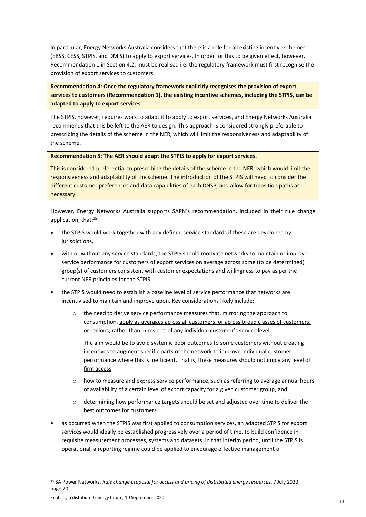In particular, Energy Networks Australia considers that there is a role for all existing incentive schemes (EBSS, CESS, STPIS, and DMIS) to apply to export services. In order for this to be given effect, however, Recommendation 1 in Section 4.2, must be realised i.e. the regulatory framework must first recognise the provision of export services to customers.

**Recommendation 4: Once the regulatory framework explicitly recognises the provision of export services to customers (Recommendation 1), the existing incentive schemes, including the STPIS, can be adapted to apply to export services**.

The STPIS, however, requires work to adapt it to apply to export services, and Energy Networks Australia recommends that this be left to the AER to design. This approach is considered strongly preferable to prescribing the details of the scheme in the NER, which will limit the responsiveness and adaptability of the scheme.

#### **Recommendation 5: The AER should adapt the STPIS to apply for export services.**

This is considered preferential to prescribing the details of the scheme in the NER, which would limit the responsiveness and adaptability of the scheme. The introduction of the STPIS will need to consider the different customer preferences and data capabilities of each DNSP, and allow for transition paths as necessary.

However, Energy Networks Australia supports SAPN's recommendation, included in their rule change application, that: 15

- the STPIS would work together with any defined service standards if these are developed by jurisdictions,
- with or without any service standards, the STPIS should motivate networks to maintain or improve service performance for customers of export services on average across some (to be determined) group(s) of customers consistent with customer expectations and willingness to pay as per the current NER principles for the STPIS,
- the STPIS would need to establish a baseline level of service performance that networks are incentivised to maintain and improve upon. Key considerations likely include:
	- the need to derive service performance measures that, mirroring the approach to consumption, apply as averages across all customers, or across broad classes of customers, or regions, rather than in respect of any individual customer's service level.

The aim would be to avoid systemic poor outcomes to some customers without creating incentives to augment specific parts of the network to improve individual customer performance where this is inefficient. That is, these measures should not imply any level of firm access.

- $\circ$  how to measure and express service performance, such as referring to average annual hours of availability of a certain level of export capacity for a given customer group, and
- $\circ$  determining how performance targets should be set and adjusted over time to deliver the best outcomes for customers.
- as occurred when the STPIS was first applied to consumption services, an adapted STPIS for export services would ideally be established progressively over a period of time, to build confidence in requisite measurement processes, systems and datasets. In that interim period, until the STPIS is operational, a reporting regime could be applied to encourage effective management of

<sup>15</sup> SA Power Networks, *Rule change proposal for access and pricing of distributed energy resources*, 7 July 2020, page 20.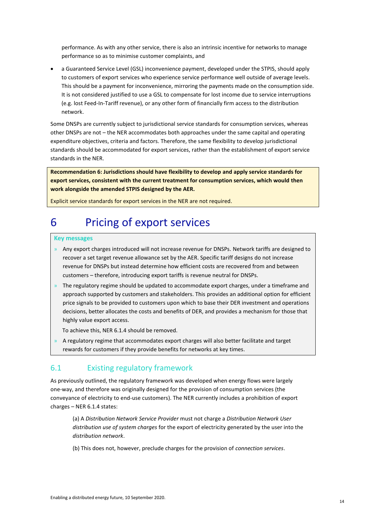performance. As with any other service, there is also an intrinsic incentive for networks to manage performance so as to minimise customer complaints, and

• a Guaranteed Service Level (GSL) inconvenience payment, developed under the STPIS, should apply to customers of export services who experience service performance well outside of average levels. This should be a payment for inconvenience, mirroring the payments made on the consumption side. It is not considered justified to use a GSL to compensate for lost income due to service interruptions (e.g. lost Feed-In-Tariff revenue), or any other form of financially firm access to the distribution network.

Some DNSPs are currently subject to jurisdictional service standards for consumption services, whereas other DNSPs are not – the NER accommodates both approaches under the same capital and operating expenditure objectives, criteria and factors. Therefore, the same flexibility to develop jurisdictional standards should be accommodated for export services, rather than the establishment of export service standards in the NER.

**Recommendation 6: Jurisdictions should have flexibility to develop and apply service standards for export services, consistent with the current treatment for consumption services, which would then work alongside the amended STPIS designed by the AER.**

Explicit service standards for export services in the NER are not required.

# <span id="page-13-0"></span>6 Pricing of export services

#### **Key messages**

- » Any export charges introduced will not increase revenue for DNSPs. Network tariffs are designed to recover a set target revenue allowance set by the AER. Specific tariff designs do not increase revenue for DNSPs but instead determine how efficient costs are recovered from and between customers – therefore, introducing export tariffs is revenue neutral for DNSPs.
- » The regulatory regime should be updated to accommodate export charges, under a timeframe and approach supported by customers and stakeholders. This provides an additional option for efficient price signals to be provided to customers upon which to base their DER investment and operations decisions, better allocates the costs and benefits of DER, and provides a mechanism for those that highly value export access.

To achieve this, NER 6.1.4 should be removed.

» A regulatory regime that accommodates export charges will also better facilitate and target rewards for customers if they provide benefits for networks at key times.

## 6.1 Existing regulatory framework

As previously outlined, the regulatory framework was developed when energy flows were largely one-way, and therefore was originally designed for the provision of consumption services (the conveyance of electricity to end-use customers). The NER currently includes a prohibition of export charges – NER 6.1.4 states:

(a) A *Distribution Network Service Provider* must not charge a *Distribution Network User distribution use of system charges* for the export of electricity generated by the user into the *distribution network*.

(b) This does not, however, preclude charges for the provision of *connection services*.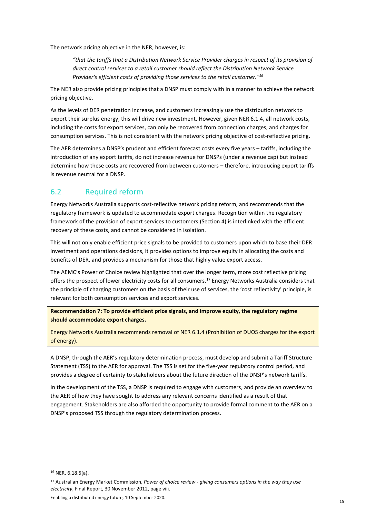The network pricing objective in the NER, however, is:

*"that the tariffs that a Distribution Network Service Provider charges in respect of its provision of direct control services to a retail customer should reflect the Distribution Network Service Provider's efficient costs of providing those services to the retail customer." 16*

The NER also provide pricing principles that a DNSP must comply with in a manner to achieve the network pricing objective.

As the levels of DER penetration increase, and customers increasingly use the distribution network to export their surplus energy, this will drive new investment. However, given NER 6.1.4, all network costs, including the costs for export services, can only be recovered from connection charges, and charges for consumption services. This is not consistent with the network pricing objective of cost-reflective pricing.

The AER determines a DNSP's prudent and efficient forecast costs every five years – tariffs, including the introduction of any export tariffs, do not increase revenue for DNSPs (under a revenue cap) but instead determine how these costs are recovered from between customers – therefore, introducing export tariffs is revenue neutral for a DNSP.

### 6.2 Required reform

Energy Networks Australia supports cost-reflective network pricing reform, and recommends that the regulatory framework is updated to accommodate export charges. Recognition within the regulatory framework of the provision of export services to customers (Section 4) is interlinked with the efficient recovery of these costs, and cannot be considered in isolation.

This will not only enable efficient price signals to be provided to customers upon which to base their DER investment and operations decisions, it provides options to improve equity in allocating the costs and benefits of DER, and provides a mechanism for those that highly value export access.

The AEMC's Power of Choice review highlighted that over the longer term, more cost reflective pricing offers the prospect of lower electricity costs for all consumers.<sup>17</sup> Energy Networks Australia considers that the principle of charging customers on the basis of their use of services, the 'cost reflectivity' principle, is relevant for both consumption services and export services.

**Recommendation 7: To provide efficient price signals, and improve equity, the regulatory regime should accommodate export charges.** 

Energy Networks Australia recommends removal of NER 6.1.4 (Prohibition of DUOS charges for the export of energy).

A DNSP, through the AER's regulatory determination process, must develop and submit a Tariff Structure Statement (TSS) to the AER for approval. The TSS is set for the five-year regulatory control period, and provides a degree of certainty to stakeholders about the future direction of the DNSP's network tariffs.

In the development of the TSS, a DNSP is required to engage with customers, and provide an overview to the AER of how they have sought to address any relevant concerns identified as a result of that engagement. Stakeholders are also afforded the opportunity to provide formal comment to the AER on a DNSP's proposed TSS through the regulatory determination process.

<sup>16</sup> NER, 6.18.5(a).

<sup>17</sup> Australian Energy Market Commission, *Power of choice review - giving consumers options in the way they use electricity*, Final Report, 30 November 2012, page viii.

Enabling a distributed energy future, 10 September 2020.